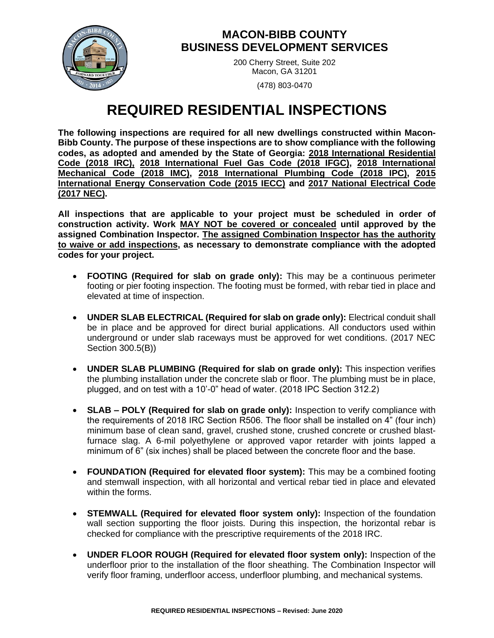

## **MACON-BIBB COUNTY BUSINESS DEVELOPMENT SERVICES**

200 Cherry Street, Suite 202 Macon, GA 31201

(478) 803-0470

## **REQUIRED RESIDENTIAL INSPECTIONS**

**The following inspections are required for all new dwellings constructed within Macon-Bibb County. The purpose of these inspections are to show compliance with the following codes, as adopted and amended by the State of Georgia: 2018 International Residential Code (2018 IRC), 2018 International Fuel Gas Code (2018 IFGC), 2018 International Mechanical Code (2018 IMC), 2018 International Plumbing Code (2018 IPC), 2015 International Energy Conservation Code (2015 IECC) and 2017 National Electrical Code (2017 NEC).** 

**All inspections that are applicable to your project must be scheduled in order of construction activity. Work MAY NOT be covered or concealed until approved by the assigned Combination Inspector. The assigned Combination Inspector has the authority to waive or add inspections, as necessary to demonstrate compliance with the adopted codes for your project.** 

- **FOOTING (Required for slab on grade only):** This may be a continuous perimeter footing or pier footing inspection. The footing must be formed, with rebar tied in place and elevated at time of inspection.
- **UNDER SLAB ELECTRICAL (Required for slab on grade only):** Electrical conduit shall be in place and be approved for direct burial applications. All conductors used within underground or under slab raceways must be approved for wet conditions. (2017 NEC Section 300.5(B))
- **UNDER SLAB PLUMBING (Required for slab on grade only):** This inspection verifies the plumbing installation under the concrete slab or floor. The plumbing must be in place, plugged, and on test with a 10'-0" head of water. (2018 IPC Section 312.2)
- **SLAB – POLY (Required for slab on grade only):** Inspection to verify compliance with the requirements of 2018 IRC Section R506. The floor shall be installed on 4" (four inch) minimum base of clean sand, gravel, crushed stone, crushed concrete or crushed blastfurnace slag. A 6-mil polyethylene or approved vapor retarder with joints lapped a minimum of 6" (six inches) shall be placed between the concrete floor and the base.
- **FOUNDATION (Required for elevated floor system):** This may be a combined footing and stemwall inspection, with all horizontal and vertical rebar tied in place and elevated within the forms.
- **STEMWALL (Required for elevated floor system only):** Inspection of the foundation wall section supporting the floor joists. During this inspection, the horizontal rebar is checked for compliance with the prescriptive requirements of the 2018 IRC.
- **UNDER FLOOR ROUGH (Required for elevated floor system only):** Inspection of the underfloor prior to the installation of the floor sheathing. The Combination Inspector will verify floor framing, underfloor access, underfloor plumbing, and mechanical systems.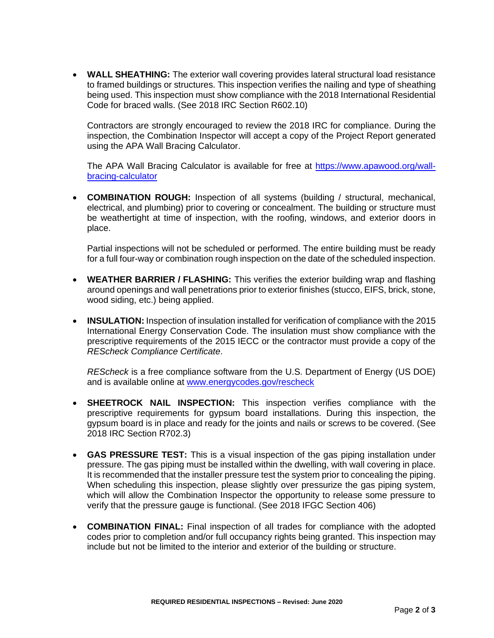• **WALL SHEATHING:** The exterior wall covering provides lateral structural load resistance to framed buildings or structures. This inspection verifies the nailing and type of sheathing being used. This inspection must show compliance with the 2018 International Residential Code for braced walls. (See 2018 IRC Section R602.10)

Contractors are strongly encouraged to review the 2018 IRC for compliance. During the inspection, the Combination Inspector will accept a copy of the Project Report generated using the APA Wall Bracing Calculator.

The APA Wall Bracing Calculator is available for free at [https://www.apawood.org/wall](https://www.apawood.org/wall-bracing-calculator)[bracing-calculator](https://www.apawood.org/wall-bracing-calculator)

• **COMBINATION ROUGH:** Inspection of all systems (building / structural, mechanical, electrical, and plumbing) prior to covering or concealment. The building or structure must be weathertight at time of inspection, with the roofing, windows, and exterior doors in place.

Partial inspections will not be scheduled or performed. The entire building must be ready for a full four-way or combination rough inspection on the date of the scheduled inspection.

- **WEATHER BARRIER / FLASHING:** This verifies the exterior building wrap and flashing around openings and wall penetrations prior to exterior finishes (stucco, EIFS, brick, stone, wood siding, etc.) being applied.
- **INSULATION:** Inspection of insulation installed for verification of compliance with the 2015 International Energy Conservation Code. The insulation must show compliance with the prescriptive requirements of the 2015 IECC or the contractor must provide a copy of the *REScheck Compliance Certificate*.

*REScheck* is a free compliance software from the U.S. Department of Energy (US DOE) and is available online at [www.energycodes.gov/rescheck](http://www.energycodes.gov/rescheck)

- **SHEETROCK NAIL INSPECTION:** This inspection verifies compliance with the prescriptive requirements for gypsum board installations. During this inspection, the gypsum board is in place and ready for the joints and nails or screws to be covered. (See 2018 IRC Section R702.3)
- **GAS PRESSURE TEST:** This is a visual inspection of the gas piping installation under pressure. The gas piping must be installed within the dwelling, with wall covering in place. It is recommended that the installer pressure test the system prior to concealing the piping. When scheduling this inspection, please slightly over pressurize the gas piping system, which will allow the Combination Inspector the opportunity to release some pressure to verify that the pressure gauge is functional. (See 2018 IFGC Section 406)
- **COMBINATION FINAL:** Final inspection of all trades for compliance with the adopted codes prior to completion and/or full occupancy rights being granted. This inspection may include but not be limited to the interior and exterior of the building or structure.